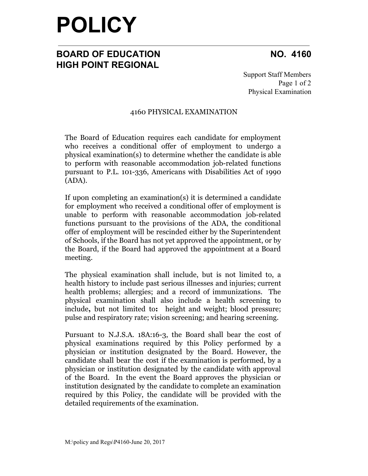# **POLICY**

## **BOARD OF EDUCATION NO. 4160 HIGH POINT REGIONAL**

Support Staff Members Page 1 of 2 Physical Examination

### 4160 PHYSICAL EXAMINATION

The Board of Education requires each candidate for employment who receives a conditional offer of employment to undergo a physical examination(s) to determine whether the candidate is able to perform with reasonable accommodation job-related functions pursuant to P.L. 101-336, Americans with Disabilities Act of 1990 (ADA).

If upon completing an examination(s) it is determined a candidate for employment who received a conditional offer of employment is unable to perform with reasonable accommodation job-related functions pursuant to the provisions of the ADA, the conditional offer of employment will be rescinded either by the Superintendent of Schools, if the Board has not yet approved the appointment, or by the Board, if the Board had approved the appointment at a Board meeting.

The physical examination shall include, but is not limited to, a health history to include past serious illnesses and injuries; current health problems; allergies; and a record of immunizations. The physical examination shall also include a health screening to include**,** but not limited to**:** height and weight; blood pressure; pulse and respiratory rate; vision screening; and hearing screening.

Pursuant to N.J.S.A. 18A:16-3, the Board shall bear the cost of physical examinations required by this Policy performed by a physician or institution designated by the Board. However, the candidate shall bear the cost if the examination is performed, by a physician or institution designated by the candidate with approval of the Board. In the event the Board approves the physician or institution designated by the candidate to complete an examination required by this Policy, the candidate will be provided with the detailed requirements of the examination.